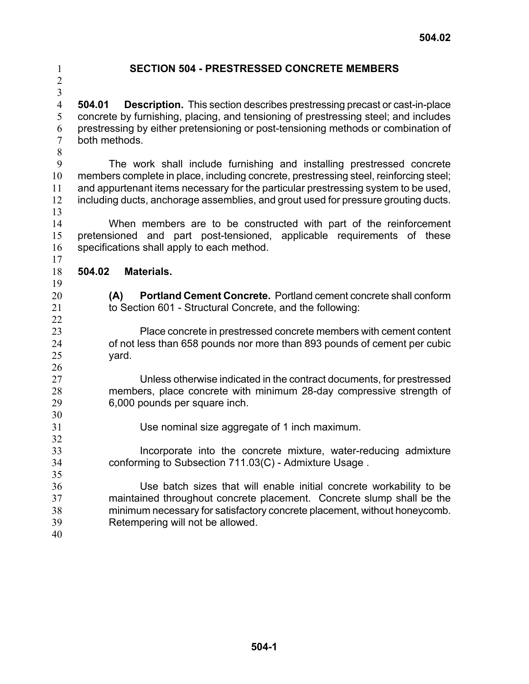2

## 1 **SECTION 504 - PRESTRESSED CONCRETE MEMBERS**

3 4

> 5 6 7

**504.01 Description.** This section describes prestressing precast or cast-in-place concrete by furnishing, placing, and tensioning of prestressing steel; and includes prestressing by either pretensioning or post-tensioning methods or combination of

8 9 10 11 12 13 The work shall include furnishing and installing prestressed concrete members complete in place, including concrete, prestressing steel, reinforcing steel; and appurtenant items necessary for the particular prestressing system to be used, including ducts, anchorage assemblies, and grout used for pressure grouting ducts.

14 15 16 When members are to be constructed with part of the reinforcement pretensioned and part post-tensioned, applicable requirements of these specifications shall apply to each method.

17 18 **504.02 Materials.** 

both methods.

19 20

**(A) Portland Cement Concrete.** Portland cement concrete shall conform to Section 601 - Structural Concrete, and the following:

Place concrete in prestressed concrete members with cement content of not less than 658 pounds nor more than 893 pounds of cement per cubic yard.

Unless otherwise indicated in the contract documents, for prestressed members, place concrete with minimum 28-day compressive strength of 6,000 pounds per square inch.

31 Use nominal size aggregate of 1 inch maximum.

33 34 Incorporate into the concrete mixture, water-reducing admixture conforming to Subsection 711.03(C) - Admixture Usage .

36 37 38 39 Use batch sizes that will enable initial concrete workability to be maintained throughout concrete placement. Concrete slump shall be the minimum necessary for satisfactory concrete placement, without honeycomb. Retempering will not be allowed.

40

32

35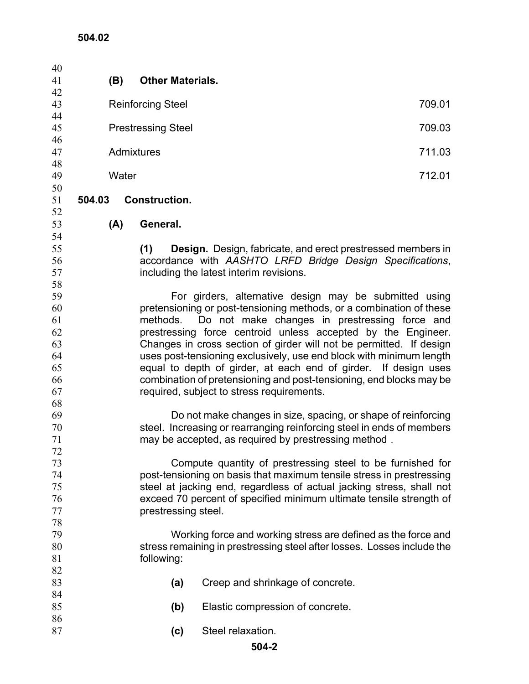| 40       |                                                                       |       |                                                                     |                                                                                                      |        |
|----------|-----------------------------------------------------------------------|-------|---------------------------------------------------------------------|------------------------------------------------------------------------------------------------------|--------|
| 41       |                                                                       | (B)   | <b>Other Materials.</b>                                             |                                                                                                      |        |
| 42       |                                                                       |       |                                                                     |                                                                                                      |        |
| 43       |                                                                       |       | <b>Reinforcing Steel</b>                                            |                                                                                                      | 709.01 |
| 44       |                                                                       |       |                                                                     |                                                                                                      |        |
| 45       | <b>Prestressing Steel</b>                                             |       |                                                                     | 709.03                                                                                               |        |
| 46       |                                                                       |       |                                                                     |                                                                                                      |        |
| 47       | Admixtures                                                            |       |                                                                     | 711.03                                                                                               |        |
| 48       |                                                                       |       |                                                                     |                                                                                                      |        |
| 49       |                                                                       | Water |                                                                     |                                                                                                      | 712.01 |
| 50       |                                                                       |       |                                                                     |                                                                                                      |        |
| 51       | 504.03                                                                |       | <b>Construction.</b>                                                |                                                                                                      |        |
| 52       |                                                                       |       |                                                                     |                                                                                                      |        |
| 53       |                                                                       | (A)   | General.                                                            |                                                                                                      |        |
| 54       |                                                                       |       |                                                                     |                                                                                                      |        |
| 55       |                                                                       |       | (1)                                                                 | <b>Design.</b> Design, fabricate, and erect prestressed members in                                   |        |
| 56<br>57 |                                                                       |       |                                                                     | accordance with AASHTO LRFD Bridge Design Specifications,<br>including the latest interim revisions. |        |
| 58       |                                                                       |       |                                                                     |                                                                                                      |        |
| 59       |                                                                       |       |                                                                     | For girders, alternative design may be submitted using                                               |        |
| 60       |                                                                       |       |                                                                     | pretensioning or post-tensioning methods, or a combination of these                                  |        |
| 61       |                                                                       |       | methods.                                                            | Do not make changes in prestressing force and                                                        |        |
| 62       |                                                                       |       |                                                                     | prestressing force centroid unless accepted by the Engineer.                                         |        |
| 63       |                                                                       |       |                                                                     | Changes in cross section of girder will not be permitted. If design                                  |        |
| 64       |                                                                       |       |                                                                     | uses post-tensioning exclusively, use end block with minimum length                                  |        |
| 65       |                                                                       |       | equal to depth of girder, at each end of girder. If design uses     |                                                                                                      |        |
| 66       |                                                                       |       | combination of pretensioning and post-tensioning, end blocks may be |                                                                                                      |        |
| 67       |                                                                       |       |                                                                     | required, subject to stress requirements.                                                            |        |
| 68       |                                                                       |       |                                                                     |                                                                                                      |        |
| 69       |                                                                       |       |                                                                     | Do not make changes in size, spacing, or shape of reinforcing                                        |        |
| 70       | steel. Increasing or rearranging reinforcing steel in ends of members |       |                                                                     |                                                                                                      |        |
| 71       |                                                                       |       |                                                                     | may be accepted, as required by prestressing method.                                                 |        |
| 72       |                                                                       |       |                                                                     |                                                                                                      |        |
| 73       |                                                                       |       |                                                                     | Compute quantity of prestressing steel to be furnished for                                           |        |
| 74       | post-tensioning on basis that maximum tensile stress in prestressing  |       |                                                                     |                                                                                                      |        |
| 75       | steel at jacking end, regardless of actual jacking stress, shall not  |       |                                                                     |                                                                                                      |        |
| 76       |                                                                       |       |                                                                     | exceed 70 percent of specified minimum ultimate tensile strength of                                  |        |
| 77<br>78 |                                                                       |       | prestressing steel.                                                 |                                                                                                      |        |
| 79       |                                                                       |       |                                                                     | Working force and working stress are defined as the force and                                        |        |
| 80       |                                                                       |       |                                                                     | stress remaining in prestressing steel after losses. Losses include the                              |        |
| 81       |                                                                       |       | following:                                                          |                                                                                                      |        |
| 82       |                                                                       |       |                                                                     |                                                                                                      |        |
| 83       |                                                                       |       | (a)                                                                 | Creep and shrinkage of concrete.                                                                     |        |
| 84       |                                                                       |       |                                                                     |                                                                                                      |        |
| 85       |                                                                       |       | (b)                                                                 | Elastic compression of concrete.                                                                     |        |
| 86       |                                                                       |       |                                                                     |                                                                                                      |        |
| 87       |                                                                       |       | (c)                                                                 | Steel relaxation.                                                                                    |        |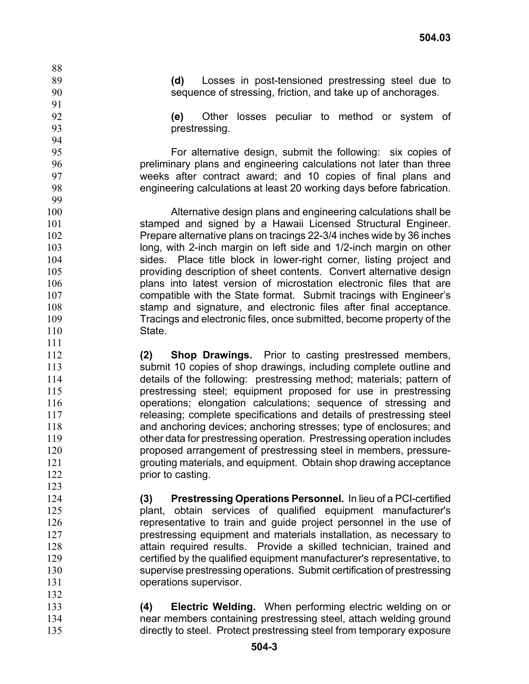**(d)** Losses in post-tensioned prestressing steel due to sequence of stressing, friction, and take up of anchorages.

**(e)** Other losses peculiar to method or system of prestressing.

For alternative design, submit the following: six copies of preliminary plans and engineering calculations not later than three weeks after contract award; and 10 copies of final plans and engineering calculations at least 20 working days before fabrication.

100 101 102 103 104 105 106 107 108 109 110 Alternative design plans and engineering calculations shall be stamped and signed by a Hawaii Licensed Structural Engineer. Prepare alternative plans on tracings 22-3/4 inches wide by 36 inches long, with 2-inch margin on left side and 1/2-inch margin on other sides. Place title block in lower-right corner, listing project and providing description of sheet contents. Convert alternative design plans into latest version of microstation electronic files that are compatible with the State format. Submit tracings with Engineer's stamp and signature, and electronic files after final acceptance. Tracings and electronic files, once submitted, become property of the State.

**(2) Shop Drawings.** Prior to casting prestressed members, submit 10 copies of shop drawings, including complete outline and details of the following: prestressing method; materials; pattern of prestressing steel; equipment proposed for use in prestressing operations; elongation calculations; sequence of stressing and releasing; complete specifications and details of prestressing steel and anchoring devices; anchoring stresses; type of enclosures; and other data for prestressing operation. Prestressing operation includes proposed arrangement of prestressing steel in members, pressuregrouting materials, and equipment. Obtain shop drawing acceptance prior to casting.

**(3) Prestressing Operations Personnel.** In lieu of a PCI-certified plant, obtain services of qualified equipment manufacturer's representative to train and guide project personnel in the use of prestressing equipment and materials installation, as necessary to attain required results. Provide a skilled technician, trained and certified by the qualified equipment manufacturer's representative, to supervise prestressing operations. Submit certification of prestressing operations supervisor.

133 134 135 **(4) Electric Welding.** When performing electric welding on or near members containing prestressing steel, attach welding ground directly to steel. Protect prestressing steel from temporary exposure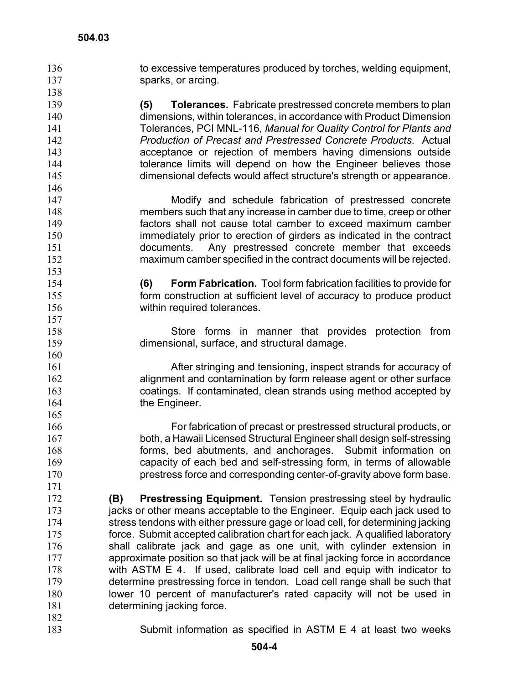to excessive temperatures produced by torches, welding equipment, sparks, or arcing. 136 137 138 139 140 141 142 143 144 145 146 147 148 149 150 151 152 153 154 155 156 157 158 159 160 161 162 163 164 165 166 167 168 169 170 171 172 173 174 175 176 177 178 179 180 181 182 183 **(5) Tolerances.** Fabricate prestressed concrete members to plan dimensions, within tolerances, in accordance with Product Dimension Tolerances, PCI MNL-116, *Manual for Quality Control for Plants and Production of Precast and Prestressed Concrete Products*. Actual acceptance or rejection of members having dimensions outside tolerance limits will depend on how the Engineer believes those dimensional defects would affect structure's strength or appearance. Modify and schedule fabrication of prestressed concrete members such that any increase in camber due to time, creep or other factors shall not cause total camber to exceed maximum camber immediately prior to erection of girders as indicated in the contract documents. Any prestressed concrete member that exceeds maximum camber specified in the contract documents will be rejected. **(6) Form Fabrication.** Tool form fabrication facilities to provide for form construction at sufficient level of accuracy to produce product within required tolerances. Store forms in manner that provides protection from dimensional, surface, and structural damage. After stringing and tensioning, inspect strands for accuracy of alignment and contamination by form release agent or other surface coatings. If contaminated, clean strands using method accepted by the Engineer. For fabrication of precast or prestressed structural products, or both, a Hawaii Licensed Structural Engineer shall design self-stressing forms, bed abutments, and anchorages. Submit information on capacity of each bed and self-stressing form, in terms of allowable prestress force and corresponding center-of-gravity above form base. **(B) Prestressing Equipment.** Tension prestressing steel by hydraulic jacks or other means acceptable to the Engineer. Equip each jack used to stress tendons with either pressure gage or load cell, for determining jacking force. Submit accepted calibration chart for each jack. A qualified laboratory shall calibrate jack and gage as one unit, with cylinder extension in approximate position so that jack will be at final jacking force in accordance with ASTM E 4. If used, calibrate load cell and equip with indicator to determine prestressing force in tendon. Load cell range shall be such that lower 10 percent of manufacturer's rated capacity will not be used in determining jacking force. Submit information as specified in ASTM E 4 at least two weeks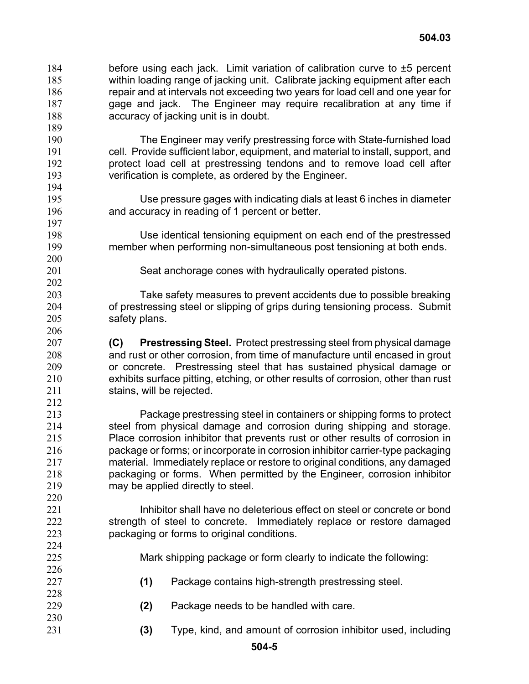- before using each jack. Limit variation of calibration curve to ±5 percent within loading range of jacking unit. Calibrate jacking equipment after each repair and at intervals not exceeding two years for load cell and one year for gage and jack. The Engineer may require recalibration at any time if accuracy of jacking unit is in doubt. 184 185 186 187 188 189 190 191 192 193 194 195 196 197 198 199 200 201 202 203 204 205 206 207 208 209 210 211 212 213 214 215 216 217 218 The Engineer may verify prestressing force with State-furnished load cell. Provide sufficient labor, equipment, and material to install, support, and protect load cell at prestressing tendons and to remove load cell after verification is complete, as ordered by the Engineer. Use pressure gages with indicating dials at least 6 inches in diameter and accuracy in reading of 1 percent or better. Use identical tensioning equipment on each end of the prestressed member when performing non-simultaneous post tensioning at both ends. Seat anchorage cones with hydraulically operated pistons. Take safety measures to prevent accidents due to possible breaking of prestressing steel or slipping of grips during tensioning process. Submit safety plans. **(C) Prestressing Steel.** Protect prestressing steel from physical damage and rust or other corrosion, from time of manufacture until encased in grout or concrete. Prestressing steel that has sustained physical damage or exhibits surface pitting, etching, or other results of corrosion, other than rust stains, will be rejected. Package prestressing steel in containers or shipping forms to protect steel from physical damage and corrosion during shipping and storage. Place corrosion inhibitor that prevents rust or other results of corrosion in package or forms; or incorporate in corrosion inhibitor carrier-type packaging material. Immediately replace or restore to original conditions, any damaged packaging or forms. When permitted by the Engineer, corrosion inhibitor
- 221 222 223 Inhibitor shall have no deleterious effect on steel or concrete or bond strength of steel to concrete. Immediately replace or restore damaged packaging or forms to original conditions.

may be applied directly to steel.

219 220

- Mark shipping package or form clearly to indicate the following:
- **(1)** Package contains high-strength prestressing steel.
- **(2)** Package needs to be handled with care.
- **(3)** Type, kind, and amount of corrosion inhibitor used, including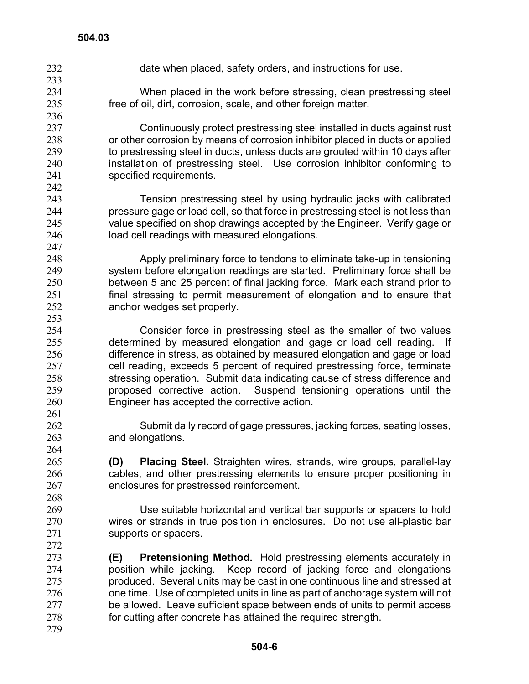- 232 date when placed, safety orders, and instructions for use. 233 234 235 236 237 238 239 240 241 242 243 244 245 246 247 248 249 250 251 252 253 254 255 256 257 258 259 260 261 262 263 264 265 266 267 268 269 270 271 272 273 274 275 276 277 278 When placed in the work before stressing, clean prestressing steel free of oil, dirt, corrosion, scale, and other foreign matter. Continuously protect prestressing steel installed in ducts against rust or other corrosion by means of corrosion inhibitor placed in ducts or applied to prestressing steel in ducts, unless ducts are grouted within 10 days after installation of prestressing steel. Use corrosion inhibitor conforming to specified requirements. Tension prestressing steel by using hydraulic jacks with calibrated pressure gage or load cell, so that force in prestressing steel is not less than value specified on shop drawings accepted by the Engineer. Verify gage or load cell readings with measured elongations. Apply preliminary force to tendons to eliminate take-up in tensioning system before elongation readings are started. Preliminary force shall be between 5 and 25 percent of final jacking force. Mark each strand prior to final stressing to permit measurement of elongation and to ensure that anchor wedges set properly. Consider force in prestressing steel as the smaller of two values determined by measured elongation and gage or load cell reading. If difference in stress, as obtained by measured elongation and gage or load cell reading, exceeds 5 percent of required prestressing force, terminate stressing operation. Submit data indicating cause of stress difference and proposed corrective action. Suspend tensioning operations until the Engineer has accepted the corrective action. Submit daily record of gage pressures, jacking forces, seating losses, and elongations. **(D) Placing Steel.** Straighten wires, strands, wire groups, parallel-lay cables, and other prestressing elements to ensure proper positioning in enclosures for prestressed reinforcement. Use suitable horizontal and vertical bar supports or spacers to hold wires or strands in true position in enclosures. Do not use all-plastic bar supports or spacers. **(E) Pretensioning Method.** Hold prestressing elements accurately in position while jacking. Keep record of jacking force and elongations produced. Several units may be cast in one continuous line and stressed at one time. Use of completed units in line as part of anchorage system will not be allowed. Leave sufficient space between ends of units to permit access for cutting after concrete has attained the required strength.
- 279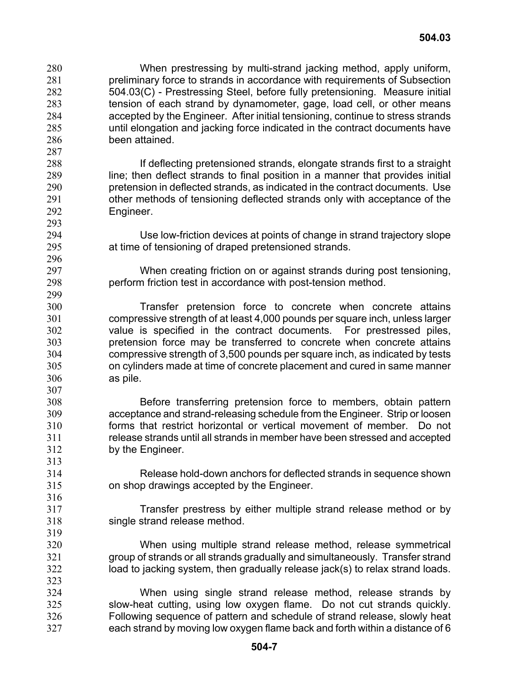When prestressing by multi-strand jacking method, apply uniform, preliminary force to strands in accordance with requirements of Subsection 504.03(C) - Prestressing Steel, before fully pretensioning. Measure initial tension of each strand by dynamometer, gage, load cell, or other means accepted by the Engineer. After initial tensioning, continue to stress strands until elongation and jacking force indicated in the contract documents have been attained. 280 281 282 283 284 285 286 287

288 289 290 291 292 If deflecting pretensioned strands, elongate strands first to a straight line; then deflect strands to final position in a manner that provides initial pretension in deflected strands, as indicated in the contract documents. Use other methods of tensioning deflected strands only with acceptance of the Engineer.

307

313

- Use low-friction devices at points of change in strand trajectory slope at time of tensioning of draped pretensioned strands.
- When creating friction on or against strands during post tensioning, perform friction test in accordance with post-tension method.
- 300 301 302 303 304 305 306 Transfer pretension force to concrete when concrete attains compressive strength of at least 4,000 pounds per square inch, unless larger value is specified in the contract documents. For prestressed piles, pretension force may be transferred to concrete when concrete attains compressive strength of 3,500 pounds per square inch, as indicated by tests on cylinders made at time of concrete placement and cured in same manner as pile.
- 308 309 310 311 312 Before transferring pretension force to members, obtain pattern acceptance and strand-releasing schedule from the Engineer. Strip or loosen forms that restrict horizontal or vertical movement of member. Do not release strands until all strands in member have been stressed and accepted by the Engineer.
- 314 315 Release hold-down anchors for deflected strands in sequence shown on shop drawings accepted by the Engineer.
	- Transfer prestress by either multiple strand release method or by single strand release method.
	- When using multiple strand release method, release symmetrical group of strands or all strands gradually and simultaneously. Transfer strand load to jacking system, then gradually release jack(s) to relax strand loads.
- 324 325 326 327 When using single strand release method, release strands by slow-heat cutting, using low oxygen flame. Do not cut strands quickly. Following sequence of pattern and schedule of strand release, slowly heat each strand by moving low oxygen flame back and forth within a distance of 6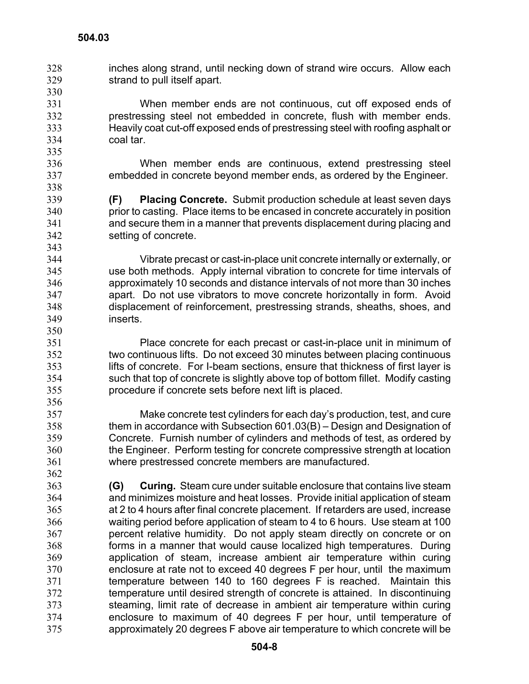330

350

356

362

inches along strand, until necking down of strand wire occurs. Allow each strand to pull itself apart. 328 329

331 332 333 334 When member ends are not continuous, cut off exposed ends of prestressing steel not embedded in concrete, flush with member ends. Heavily coat cut-off exposed ends of prestressing steel with roofing asphalt or coal tar.

> When member ends are continuous, extend prestressing steel embedded in concrete beyond member ends, as ordered by the Engineer.

**(F) Placing Concrete.** Submit production schedule at least seven days prior to casting. Place items to be encased in concrete accurately in position and secure them in a manner that prevents displacement during placing and setting of concrete.

344 345 346 347 348 349 Vibrate precast or cast-in-place unit concrete internally or externally, or use both methods. Apply internal vibration to concrete for time intervals of approximately 10 seconds and distance intervals of not more than 30 inches apart. Do not use vibrators to move concrete horizontally in form. Avoid displacement of reinforcement, prestressing strands, sheaths, shoes, and inserts.

351 352 353 354 355 Place concrete for each precast or cast-in-place unit in minimum of two continuous lifts. Do not exceed 30 minutes between placing continuous lifts of concrete. For I-beam sections, ensure that thickness of first layer is such that top of concrete is slightly above top of bottom fillet. Modify casting procedure if concrete sets before next lift is placed.

357 358 359 360 361 Make concrete test cylinders for each day's production, test, and cure them in accordance with Subsection 601.03(B) – Design and Designation of Concrete. Furnish number of cylinders and methods of test, as ordered by the Engineer. Perform testing for concrete compressive strength at location where prestressed concrete members are manufactured.

363 364 365 366 367 368 369 370 371 372 373 374 375 **(G) Curing.** Steam cure under suitable enclosure that contains live steam and minimizes moisture and heat losses. Provide initial application of steam at 2 to 4 hours after final concrete placement. If retarders are used, increase waiting period before application of steam to 4 to 6 hours. Use steam at 100 percent relative humidity. Do not apply steam directly on concrete or on forms in a manner that would cause localized high temperatures. During application of steam, increase ambient air temperature within curing enclosure at rate not to exceed 40 degrees F per hour, until the maximum temperature between 140 to 160 degrees F is reached. Maintain this temperature until desired strength of concrete is attained. In discontinuing steaming, limit rate of decrease in ambient air temperature within curing enclosure to maximum of 40 degrees F per hour, until temperature of approximately 20 degrees F above air temperature to which concrete will be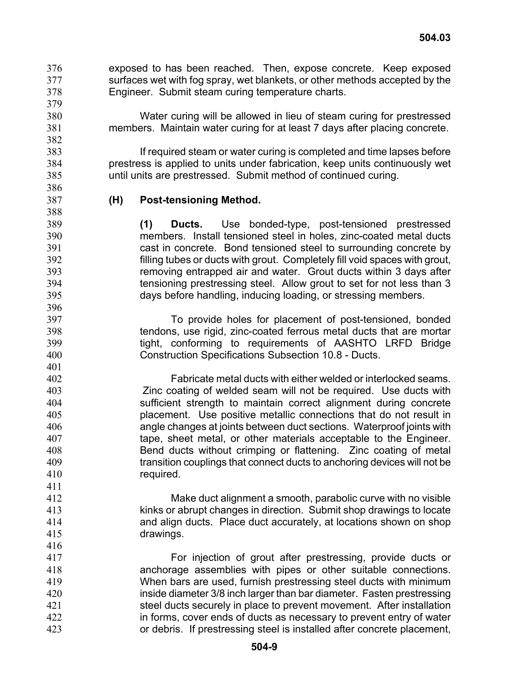exposed to has been reached. Then, expose concrete. Keep exposed surfaces wet with fog spray, wet blankets, or other methods accepted by the Engineer. Submit steam curing temperature charts. 376 377 378

> Water curing will be allowed in lieu of steam curing for prestressed members. Maintain water curing for at least 7 days after placing concrete.

If required steam or water curing is completed and time lapses before prestress is applied to units under fabrication, keep units continuously wet until units are prestressed. Submit method of continued curing.

385 386 387

411

416

## **(H) Post-tensioning Method.**

**(1) Ducts.** Use bonded-type, post-tensioned prestressed members. Install tensioned steel in holes, zinc-coated metal ducts cast in concrete. Bond tensioned steel to surrounding concrete by filling tubes or ducts with grout. Completely fill void spaces with grout, removing entrapped air and water. Grout ducts within 3 days after tensioning prestressing steel. Allow grout to set for not less than 3 days before handling, inducing loading, or stressing members.

To provide holes for placement of post-tensioned, bonded tendons, use rigid, zinc-coated ferrous metal ducts that are mortar tight, conforming to requirements of AASHTO LRFD Bridge Construction Specifications Subsection 10.8 - Ducts.

402 403 404 405 406 407 408 409 410 Fabricate metal ducts with either welded or interlocked seams. Zinc coating of welded seam will not be required. Use ducts with sufficient strength to maintain correct alignment during concrete placement. Use positive metallic connections that do not result in angle changes at joints between duct sections. Waterproof joints with tape, sheet metal, or other materials acceptable to the Engineer. Bend ducts without crimping or flattening. Zinc coating of metal transition couplings that connect ducts to anchoring devices will not be required.

412 413 414 415 Make duct alignment a smooth, parabolic curve with no visible kinks or abrupt changes in direction. Submit shop drawings to locate and align ducts. Place duct accurately, at locations shown on shop drawings.

417 418 419 420 421 422 423 For injection of grout after prestressing, provide ducts or anchorage assemblies with pipes or other suitable connections. When bars are used, furnish prestressing steel ducts with minimum inside diameter 3/8 inch larger than bar diameter. Fasten prestressing steel ducts securely in place to prevent movement. After installation in forms, cover ends of ducts as necessary to prevent entry of water or debris. If prestressing steel is installed after concrete placement,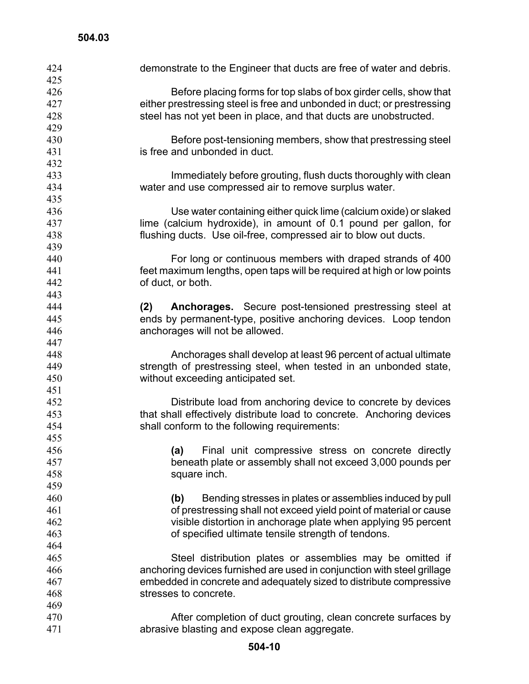| 424        | demonstrate to the Engineer that ducts are free of water and debris.                          |
|------------|-----------------------------------------------------------------------------------------------|
| 425        |                                                                                               |
| 426        | Before placing forms for top slabs of box girder cells, show that                             |
| 427        | either prestressing steel is free and unbonded in duct; or prestressing                       |
| 428        | steel has not yet been in place, and that ducts are unobstructed.                             |
| 429<br>430 |                                                                                               |
| 431        | Before post-tensioning members, show that prestressing steel<br>is free and unbonded in duct. |
| 432        |                                                                                               |
| 433        | Immediately before grouting, flush ducts thoroughly with clean                                |
| 434        | water and use compressed air to remove surplus water.                                         |
| 435        |                                                                                               |
| 436        | Use water containing either quick lime (calcium oxide) or slaked                              |
| 437        | lime (calcium hydroxide), in amount of 0.1 pound per gallon, for                              |
| 438        | flushing ducts. Use oil-free, compressed air to blow out ducts.                               |
| 439        |                                                                                               |
| 440        | For long or continuous members with draped strands of 400                                     |
| 441        | feet maximum lengths, open taps will be required at high or low points                        |
| 442        | of duct, or both.                                                                             |
| 443        |                                                                                               |
| 444        | Anchorages. Secure post-tensioned prestressing steel at<br>(2)                                |
| 445        | ends by permanent-type, positive anchoring devices. Loop tendon                               |
| 446        | anchorages will not be allowed.                                                               |
| 447        |                                                                                               |
| 448        | Anchorages shall develop at least 96 percent of actual ultimate                               |
| 449        | strength of prestressing steel, when tested in an unbonded state,                             |
| 450        | without exceeding anticipated set.                                                            |
| 451        |                                                                                               |
| 452        | Distribute load from anchoring device to concrete by devices                                  |
| 453        | that shall effectively distribute load to concrete. Anchoring devices                         |
| 454        | shall conform to the following requirements:                                                  |
| 455        |                                                                                               |
| 456        | Final unit compressive stress on concrete directly<br>(a)                                     |
| 457        | beneath plate or assembly shall not exceed 3,000 pounds per                                   |
| 458        | square inch.                                                                                  |
| 459        |                                                                                               |
| 460        | Bending stresses in plates or assemblies induced by pull<br>(b)                               |
| 461        | of prestressing shall not exceed yield point of material or cause                             |
| 462        | visible distortion in anchorage plate when applying 95 percent                                |
| 463        | of specified ultimate tensile strength of tendons.                                            |
| 464        |                                                                                               |
| 465        | Steel distribution plates or assemblies may be omitted if                                     |
| 466        | anchoring devices furnished are used in conjunction with steel grillage                       |
| 467        | embedded in concrete and adequately sized to distribute compressive                           |
| 468        | stresses to concrete.                                                                         |
| 469        |                                                                                               |
| 470        | After completion of duct grouting, clean concrete surfaces by                                 |
| 471        | abrasive blasting and expose clean aggregate.                                                 |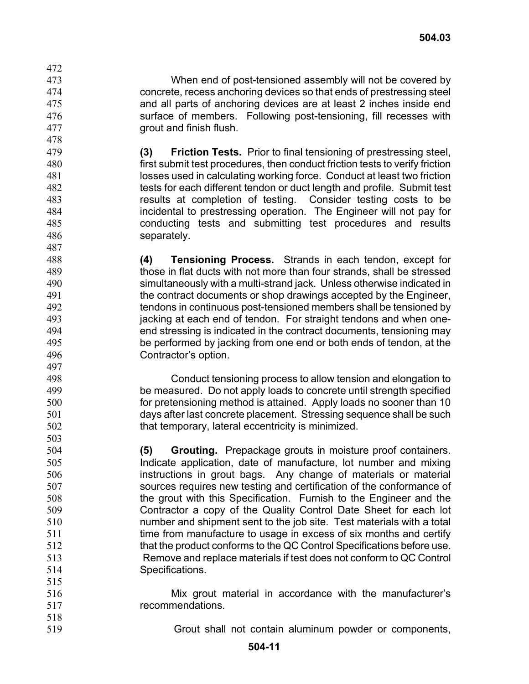When end of post-tensioned assembly will not be covered by concrete, recess anchoring devices so that ends of prestressing steel and all parts of anchoring devices are at least 2 inches inside end surface of members. Following post-tensioning, fill recesses with grout and finish flush.

**(3) Friction Tests.** Prior to final tensioning of prestressing steel, first submit test procedures, then conduct friction tests to verify friction losses used in calculating working force. Conduct at least two friction tests for each different tendon or duct length and profile. Submit test results at completion of testing. Consider testing costs to be incidental to prestressing operation. The Engineer will not pay for conducting tests and submitting test procedures and results separately.

488 489 490 491 492 493 494 495 496 497 **(4) Tensioning Process.** Strands in each tendon, except for those in flat ducts with not more than four strands, shall be stressed simultaneously with a multi-strand jack. Unless otherwise indicated in the contract documents or shop drawings accepted by the Engineer, tendons in continuous post-tensioned members shall be tensioned by jacking at each end of tendon. For straight tendons and when oneend stressing is indicated in the contract documents, tensioning may be performed by jacking from one end or both ends of tendon, at the Contractor's option.

> Conduct tensioning process to allow tension and elongation to be measured. Do not apply loads to concrete until strength specified for pretensioning method is attained. Apply loads no sooner than 10 days after last concrete placement. Stressing sequence shall be such that temporary, lateral eccentricity is minimized.

**(5) Grouting.** Prepackage grouts in moisture proof containers. Indicate application, date of manufacture, lot number and mixing instructions in grout bags. Any change of materials or material sources requires new testing and certification of the conformance of the grout with this Specification. Furnish to the Engineer and the Contractor a copy of the Quality Control Date Sheet for each lot number and shipment sent to the job site. Test materials with a total time from manufacture to usage in excess of six months and certify that the product conforms to the QC Control Specifications before use. Remove and replace materials if test does not conform to QC Control Specifications.

- 516 517 Mix grout material in accordance with the manufacturer's recommendations.
- 518 519 Grout shall not contain aluminum powder or components,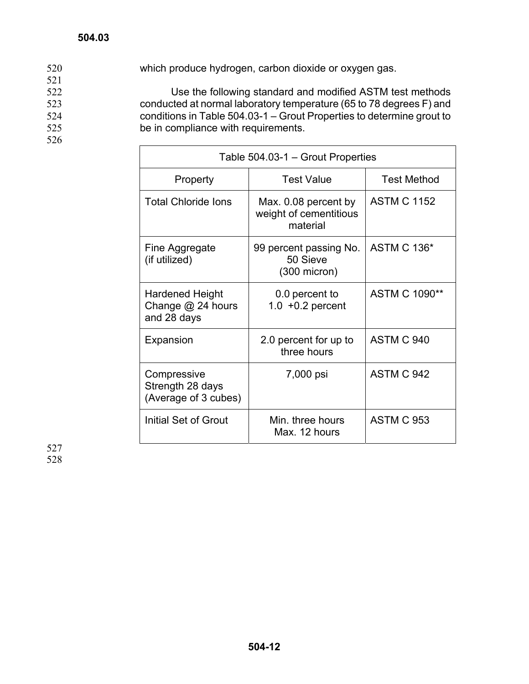520 which produce hydrogen, carbon dioxide or oxygen gas. 521 522 523 524 525 526 Use the following standard and modified ASTM test methods conducted at normal laboratory temperature (65 to 78 degrees F) and conditions in Table 504.03-1 – Grout Properties to determine grout to be in compliance with requirements.

| Table 504.03-1 - Grout Properties                       |                                                              |                      |  |
|---------------------------------------------------------|--------------------------------------------------------------|----------------------|--|
| Property                                                | <b>Test Value</b>                                            | <b>Test Method</b>   |  |
| <b>Total Chloride lons</b>                              | Max. 0.08 percent by<br>weight of cementitious<br>material   | <b>ASTM C 1152</b>   |  |
| Fine Aggregate<br>(if utilized)                         | 99 percent passing No.<br>50 Sieve<br>$(300 \text{ micron})$ | <b>ASTM C 136*</b>   |  |
| Hardened Height<br>Change $@$ 24 hours<br>and 28 days   | 0.0 percent to<br>$1.0 + 0.2$ percent                        | <b>ASTM C 1090**</b> |  |
| Expansion                                               | 2.0 percent for up to<br>three hours                         | ASTM C 940           |  |
| Compressive<br>Strength 28 days<br>(Average of 3 cubes) | 7,000 psi                                                    | ASTM C 942           |  |
| Initial Set of Grout                                    | Min. three hours<br>Max. 12 hours                            | <b>ASTM C 953</b>    |  |

527 528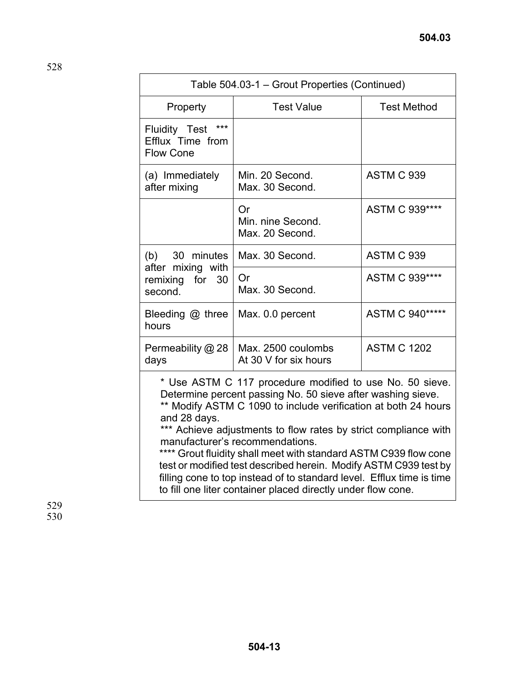|                                                                                                                                                                                                                                                                                                                                                                                     | Table 504.03-1 – Grout Properties (Continued)     |                    |  |  |
|-------------------------------------------------------------------------------------------------------------------------------------------------------------------------------------------------------------------------------------------------------------------------------------------------------------------------------------------------------------------------------------|---------------------------------------------------|--------------------|--|--|
| Property                                                                                                                                                                                                                                                                                                                                                                            | <b>Test Value</b>                                 | <b>Test Method</b> |  |  |
| $***$<br>Fluidity Test<br>Efflux Time from<br><b>Flow Cone</b>                                                                                                                                                                                                                                                                                                                      |                                                   |                    |  |  |
| (a) Immediately<br>after mixing                                                                                                                                                                                                                                                                                                                                                     | Min. 20 Second.<br>Max. 30 Second.                | <b>ASTM C 939</b>  |  |  |
|                                                                                                                                                                                                                                                                                                                                                                                     | <b>Or</b><br>Min. nine Second.<br>Max. 20 Second. | ASTM C 939****     |  |  |
| $(b)$ 30 minutes                                                                                                                                                                                                                                                                                                                                                                    | Max. 30 Second.                                   | <b>ASTM C 939</b>  |  |  |
| after mixing with<br>remixing for 30<br>second.                                                                                                                                                                                                                                                                                                                                     | Or<br>Max. 30 Second.                             | ASTM C 939****     |  |  |
| Bleeding @ three<br>hours                                                                                                                                                                                                                                                                                                                                                           | Max. 0.0 percent                                  | ASTM C 940*****    |  |  |
| Permeability @ 28<br>days                                                                                                                                                                                                                                                                                                                                                           | Max. 2500 coulombs<br>At 30 V for six hours       | <b>ASTM C 1202</b> |  |  |
| * Use ASTM C 117 procedure modified to use No. 50 sieve.<br>Determine percent passing No. 50 sieve after washing sieve.<br>** Modify ASTM C 1090 to include verification at both 24 hours<br>and 28 days.<br>*** Achieve adjustments to flow rates by strict compliance with<br>manufacturer's recommendations.<br>**** Grout fluidity shall meet with standard ASTM C939 flow cone |                                                   |                    |  |  |

test or modified test described herein. Modify ASTM C939 test by filling cone to top instead of to standard level. Efflux time is time to fill one liter container placed directly under flow cone.

529 530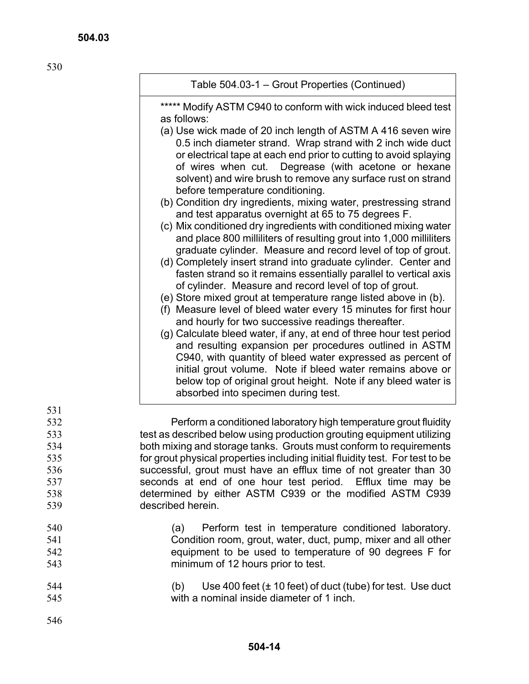530

| Table 504.03-1 – Grout Properties (Continued) |  |  |
|-----------------------------------------------|--|--|
|                                               |  |  |

\*\*\*\*\* Modify ASTM C940 to conform with wick induced bleed test as follows:

- (a) Use wick made of 20 inch length of ASTM A 416 seven wire 0.5 inch diameter strand. Wrap strand with 2 inch wide duct or electrical tape at each end prior to cutting to avoid splaying of wires when cut. Degrease (with acetone or hexane solvent) and wire brush to remove any surface rust on strand before temperature conditioning.
- (b) Condition dry ingredients, mixing water, prestressing strand and test apparatus overnight at 65 to 75 degrees F.
- (c) Mix conditioned dry ingredients with conditioned mixing water and place 800 milliliters of resulting grout into 1,000 milliliters graduate cylinder. Measure and record level of top of grout.
- (d) Completely insert strand into graduate cylinder. Center and fasten strand so it remains essentially parallel to vertical axis of cylinder. Measure and record level of top of grout.
- (e) Store mixed grout at temperature range listed above in (b).
- (f) Measure level of bleed water every 15 minutes for first hour and hourly for two successive readings thereafter.
- (g) Calculate bleed water, if any, at end of three hour test period and resulting expansion per procedures outlined in ASTM C940, with quantity of bleed water expressed as percent of initial grout volume. Note if bleed water remains above or below top of original grout height. Note if any bleed water is absorbed into specimen during test.

532 533 534 540 Perform a conditioned laboratory high temperature grout fluidity test as described below using production grouting equipment utilizing both mixing and storage tanks. Grouts must conform to requirements for grout physical properties including initial fluidity test. For test to be successful, grout must have an efflux time of not greater than 30 seconds at end of one hour test period. Efflux time may be determined by either ASTM C939 or the modified ASTM C939 described herein. (a) Perform test in temperature conditioned laboratory.

- Condition room, grout, water, duct, pump, mixer and all other equipment to be used to temperature of 90 degrees F for minimum of 12 hours prior to test.
- 544 545 (b) Use 400 feet  $(\pm 10 \text{ feet})$  of duct (tube) for test. Use duct with a nominal inside diameter of 1 inch.
- 546

541 542 543

531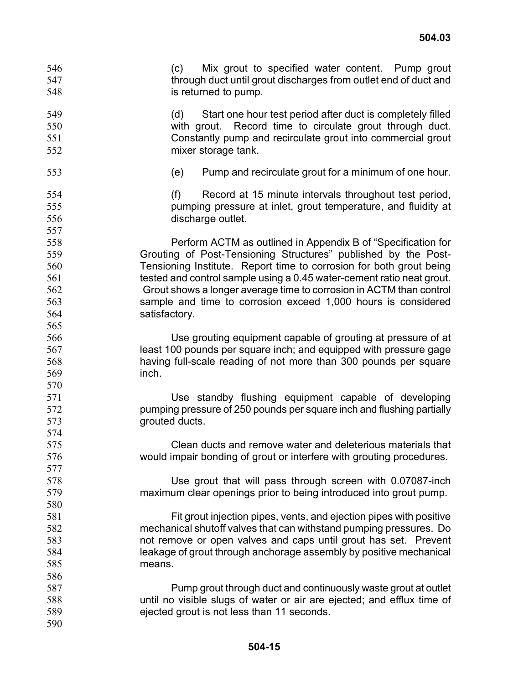(c) Mix grout to specified water content. Pump grout through duct until grout discharges from outlet end of duct and is returned to pump. 546 547 548

549 550 551 552 (d) Start one hour test period after duct is completely filled with grout. Record time to circulate grout through duct. Constantly pump and recirculate grout into commercial grout mixer storage tank.

553

(e) Pump and recirculate grout for a minimum of one hour.

(f) Record at 15 minute intervals throughout test period, pumping pressure at inlet, grout temperature, and fluidity at discharge outlet.

Perform ACTM as outlined in Appendix B of "Specification for Grouting of Post-Tensioning Structures" published by the Post-Tensioning Institute. Report time to corrosion for both grout being tested and control sample using a 0.45 water-cement ratio neat grout. Grout shows a longer average time to corrosion in ACTM than control sample and time to corrosion exceed 1,000 hours is considered satisfactory.

Use grouting equipment capable of grouting at pressure of at least 100 pounds per square inch; and equipped with pressure gage having full-scale reading of not more than 300 pounds per square inch.

> Use standby flushing equipment capable of developing pumping pressure of 250 pounds per square inch and flushing partially grouted ducts.

> Clean ducts and remove water and deleterious materials that would impair bonding of grout or interfere with grouting procedures.

> Use grout that will pass through screen with 0.07087-inch maximum clear openings prior to being introduced into grout pump.

Fit grout injection pipes, vents, and ejection pipes with positive mechanical shutoff valves that can withstand pumping pressures. Do not remove or open valves and caps until grout has set. Prevent leakage of grout through anchorage assembly by positive mechanical means.

Pump grout through duct and continuously waste grout at outlet until no visible slugs of water or air are ejected; and efflux time of ejected grout is not less than 11 seconds.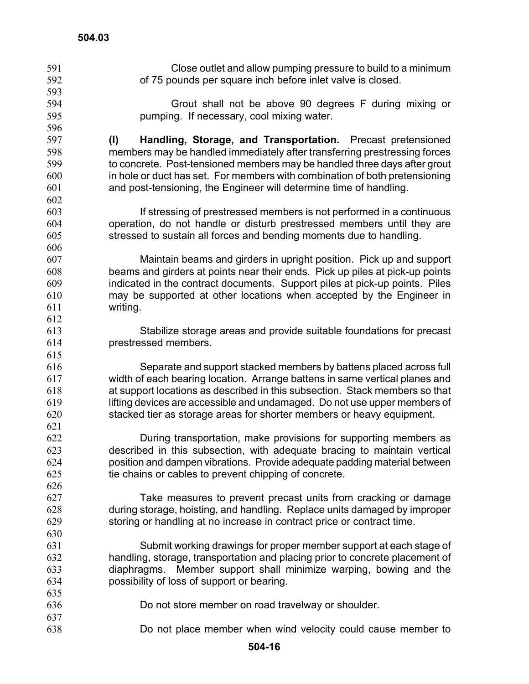| 591 | Close outlet and allow pumping pressure to build to a minimum                |
|-----|------------------------------------------------------------------------------|
| 592 | of 75 pounds per square inch before inlet valve is closed.                   |
| 593 |                                                                              |
| 594 | Grout shall not be above 90 degrees F during mixing or                       |
| 595 | pumping. If necessary, cool mixing water.                                    |
| 596 |                                                                              |
| 597 | Handling, Storage, and Transportation. Precast pretensioned<br>(1)           |
| 598 | members may be handled immediately after transferring prestressing forces    |
| 599 | to concrete. Post-tensioned members may be handled three days after grout    |
| 600 | in hole or duct has set. For members with combination of both pretensioning  |
| 601 | and post-tensioning, the Engineer will determine time of handling.           |
| 602 |                                                                              |
| 603 | If stressing of prestressed members is not performed in a continuous         |
| 604 | operation, do not handle or disturb prestressed members until they are       |
| 605 | stressed to sustain all forces and bending moments due to handling.          |
| 606 |                                                                              |
| 607 | Maintain beams and girders in upright position. Pick up and support          |
| 608 | beams and girders at points near their ends. Pick up piles at pick-up points |
| 609 | indicated in the contract documents. Support piles at pick-up points. Piles  |
| 610 | may be supported at other locations when accepted by the Engineer in         |
| 611 | writing.                                                                     |
| 612 |                                                                              |
| 613 | Stabilize storage areas and provide suitable foundations for precast         |
| 614 | prestressed members.                                                         |
| 615 |                                                                              |
| 616 | Separate and support stacked members by battens placed across full           |
| 617 | width of each bearing location. Arrange battens in same vertical planes and  |
| 618 | at support locations as described in this subsection. Stack members so that  |
| 619 | lifting devices are accessible and undamaged. Do not use upper members of    |
| 620 | stacked tier as storage areas for shorter members or heavy equipment.        |
| 621 |                                                                              |
| 622 | During transportation, make provisions for supporting members as             |
| 623 | described in this subsection, with adequate bracing to maintain vertical     |
| 624 | position and dampen vibrations. Provide adequate padding material between    |
| 625 | tie chains or cables to prevent chipping of concrete.                        |
| 626 |                                                                              |
| 627 | Take measures to prevent precast units from cracking or damage               |
| 628 | during storage, hoisting, and handling. Replace units damaged by improper    |
| 629 | storing or handling at no increase in contract price or contract time.       |
| 630 |                                                                              |
| 631 | Submit working drawings for proper member support at each stage of           |
| 632 | handling, storage, transportation and placing prior to concrete placement of |
| 633 | diaphragms. Member support shall minimize warping, bowing and the            |
| 634 | possibility of loss of support or bearing.                                   |
| 635 |                                                                              |
| 636 | Do not store member on road travelway or shoulder.                           |
| 637 |                                                                              |
| 638 | Do not place member when wind velocity could cause member to                 |